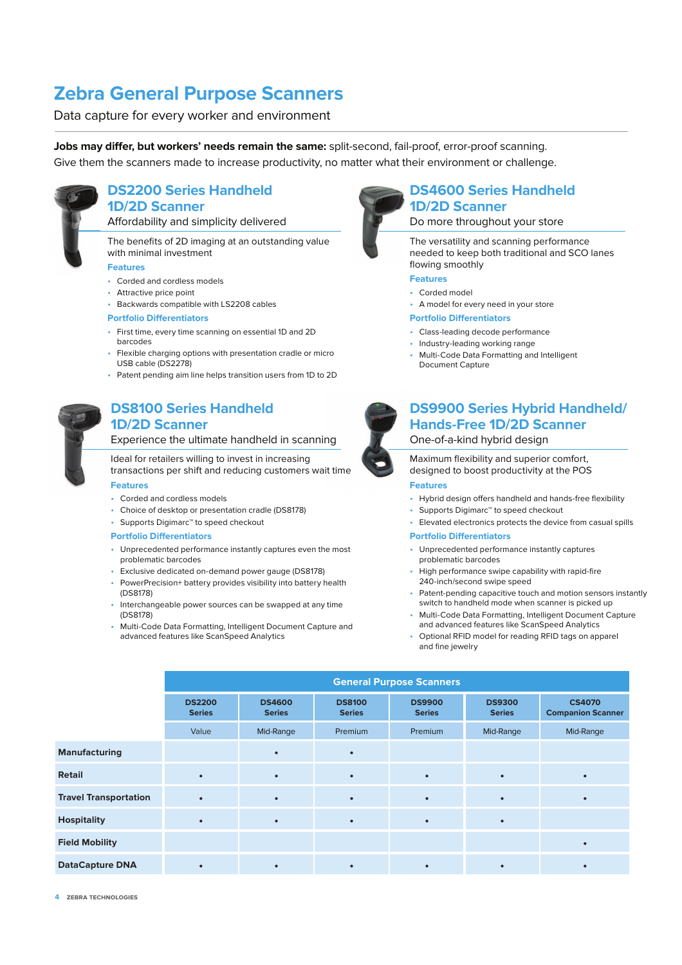## **Zebra General Purpose Scanners**

Data capture for every worker and environment

Jobs may differ, but workers' needs remain the same: split-second, fail-proof, error-proof scanning. Give them the scanners made to increase productivity, no matter what their environment or challenge.



### **DS2200 Series Handheld 1D/2D Scanner**

Affordability and simplicity delivered

The benefits of 2D imaging at an outstanding value with minimal investment

#### **Features**

- Corded and cordless models
- Attractive price point
- Backwards compatible with LS2208 cables

#### **Portfolio Differentiators**

- First time, every time scanning on essential 1D and 2D barcodes
- Flexible charging options with presentation cradle or micro USB cable (DS2278)
- Patent pending aim line helps transition users from 1D to 2D



## **DS8100 Series Handheld 1D/2D Scanner**

#### Experience the ultimate handheld in scanning

## Ideal for retailers willing to invest in increasing

transactions per shift and reducing customers wait time **Features**

- Corded and cordless models
- Choice of desktop or presentation cradle (DS8178)
- Supports Digimarc™ to speed checkout

#### **Portfolio Differentiators**

- Unprecedented performance instantly captures even the most problematic barcodes
- Exclusive dedicated on-demand power gauge (DS8178)
- PowerPrecision+ battery provides visibility into battery health (DS8178)
- Interchangeable power sources can be swapped at any time (DS8178)
- Multi-Code Data Formatting, Intelligent Document Capture and advanced features like ScanSpeed Analytics



## **DS4600 Series Handheld 1D/2D Scanner**

Do more throughout your store

The versatility and scanning performance needed to keep both traditional and SCO lanes flowing smoothly

**Features**

- Corded model
- A model for every need in your store
- **Portfolio Differentiators**
- Class-leading decode performance
- Industry-leading working range
- Multi-Code Data Formatting and Intelligent Document Capture
- **DS9900 Series Hybrid Handheld/ Hands-Free 1D/2D Scanner** One-of-a-kind hybrid design

Maximum flexibility and superior comfort, designed to boost productivity at the POS

#### **Features**

- Hybrid design offers handheld and hands-free flexibility
- Supports Digimarc™ to speed checkout
- Elevated electronics protects the device from casual spills

#### **Portfolio Differentiators**

- Unprecedented performance instantly captures problematic barcodes
- High performance swipe capability with rapid-fire 240-inch/second swipe speed
- Patent-pending capacitive touch and motion sensors instantly switch to handheld mode when scanner is picked up
- Multi-Code Data Formatting, Intelligent Document Capture and advanced features like ScanSpeed Analytics
- Optional RFID model for reading RFID tags on apparel and fine jewelry

|                              | <b>General Purpose Scanners</b> |                                |                                |                                |                                |                                           |  |  |
|------------------------------|---------------------------------|--------------------------------|--------------------------------|--------------------------------|--------------------------------|-------------------------------------------|--|--|
|                              | <b>DS2200</b><br><b>Series</b>  | <b>DS4600</b><br><b>Series</b> | <b>DS8100</b><br><b>Series</b> | <b>DS9900</b><br><b>Series</b> | <b>DS9300</b><br><b>Series</b> | <b>CS4070</b><br><b>Companion Scanner</b> |  |  |
|                              | Value                           | Mid-Range                      | Premium                        | Premium                        | Mid-Range                      | Mid-Range                                 |  |  |
| <b>Manufacturing</b>         |                                 |                                | ٠                              |                                |                                |                                           |  |  |
| <b>Retail</b>                |                                 | $\bullet$                      | $\bullet$                      | $\bullet$                      |                                |                                           |  |  |
| <b>Travel Transportation</b> | $\bullet$                       | $\bullet$                      | $\bullet$                      | $\bullet$                      |                                |                                           |  |  |
| <b>Hospitality</b>           |                                 | $\bullet$                      | $\bullet$                      | $\bullet$                      |                                |                                           |  |  |
| <b>Field Mobility</b>        |                                 |                                |                                |                                |                                |                                           |  |  |
| <b>DataCapture DNA</b>       |                                 |                                |                                |                                |                                |                                           |  |  |

**4 ZEBRA TECHNOLOGIES**

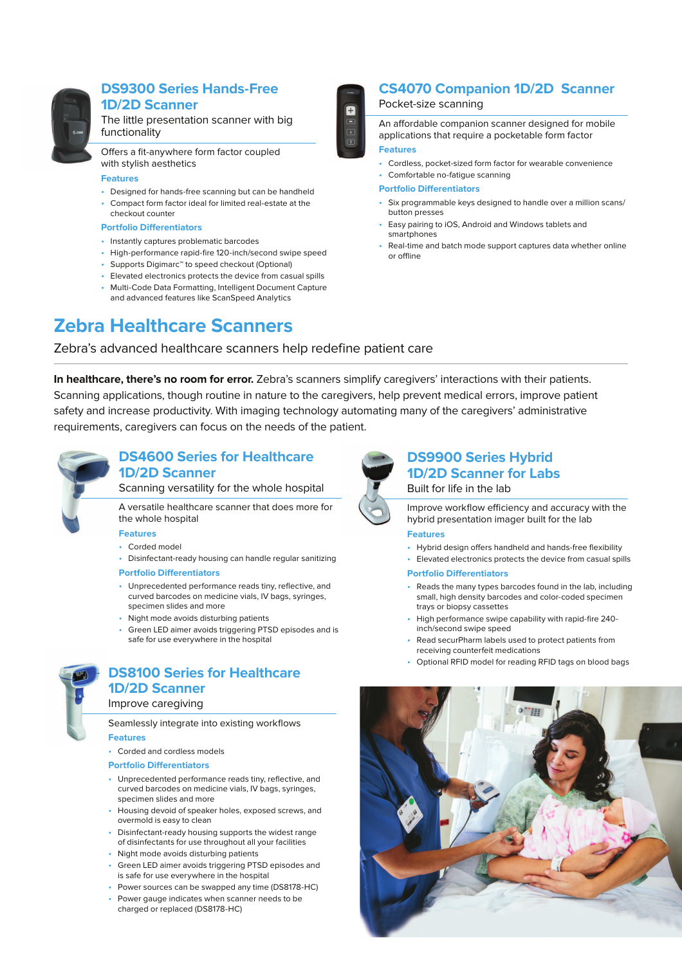

## **DS9300 Series Hands-Free 1D/2D Scanner**

The little presentation scanner with big functionality

Offers a fit-anywhere form factor coupled with stylish aesthetics

#### **Features**

- Designed for hands-free scanning but can be handheld • Compact form factor ideal for limited real-estate at the
- checkout counter

#### **Portfolio Differentiators**

- Instantly captures problematic barcodes
- High-performance rapid-fire 120-inch/second swipe speed
- Supports Digimarc™ to speed checkout (Optional)
- Elevated electronics protects the device from casual spills • Multi-Code Data Formatting, Intelligent Document Capture
- and advanced features like ScanSpeed Analytics



## **CS4070 Companion 1D/2D Scanner**

#### Pocket-size scanning

An affordable companion scanner designed for mobile applications that require a pocketable form factor

#### **Features**

- Cordless, pocket-sized form factor for wearable convenience
- Comfortable no-fatigue scanning

#### **Portfolio Differentiators**

- Six programmable keys designed to handle over a million scans/ button presses
- Easy pairing to iOS, Android and Windows tablets and smartphones
- Real-time and batch mode support captures data whether online or offline

## **Zebra Healthcare Scanners**

## Zebra's advanced healthcare scanners help redefine patient care

**In healthcare, there's no room for error.** Zebra's scanners simplify caregivers' interactions with their patients. Scanning applications, though routine in nature to the caregivers, help prevent medical errors, improve patient safety and increase productivity. With imaging technology automating many of the caregivers' administrative requirements, caregivers can focus on the needs of the patient.



## **DS4600 Series for Healthcare 1D/2D Scanner**

Scanning versatility for the whole hospital

A versatile healthcare scanner that does more for the whole hospital

#### **Features**

- Corded model
- Disinfectant-ready housing can handle regular sanitizing **Portfolio Differentiators**
- Unprecedented performance reads tiny, reflective, and curved barcodes on medicine vials, IV bags, syringes, specimen slides and more
- Night mode avoids disturbing patients
- Green LED aimer avoids triggering PTSD episodes and is safe for use everywhere in the hospital



## **DS8100 Series for Healthcare 1D/2D Scanner**

#### Improve caregiving

Seamlessly integrate into existing workflows **Features**

• Corded and cordless models

#### **Portfolio Differentiators**

- Unprecedented performance reads tiny, reflective, and curved barcodes on medicine vials, IV bags, syringes, specimen slides and more
- Housing devoid of speaker holes, exposed screws, and overmold is easy to clean
- Disinfectant-ready housing supports the widest range of disinfectants for use throughout all your facilities
- Night mode avoids disturbing patients
- Green LED aimer avoids triggering PTSD episodes and is safe for use everywhere in the hospital
- Power sources can be swapped any time (DS8178-HC)
- Power gauge indicates when scanner needs to be charged or replaced (DS8178-HC)



## **DS9900 Series Hybrid 1D/2D Scanner for Labs** Built for life in the lab

Improve workflow efficiency and accuracy with the hybrid presentation imager built for the lab

### **Features**

• Hybrid design offers handheld and hands-free flexibility

• Elevated electronics protects the device from casual spills **Portfolio Differentiators** 

- Reads the many types barcodes found in the lab, including small, high density barcodes and color-coded specimen trays or biopsy cassettes
- High performance swipe capability with rapid-fire 240 inch/second swipe speed
- Read securPharm labels used to protect patients from receiving counterfeit medications
- Optional RFID model for reading RFID tags on blood bags